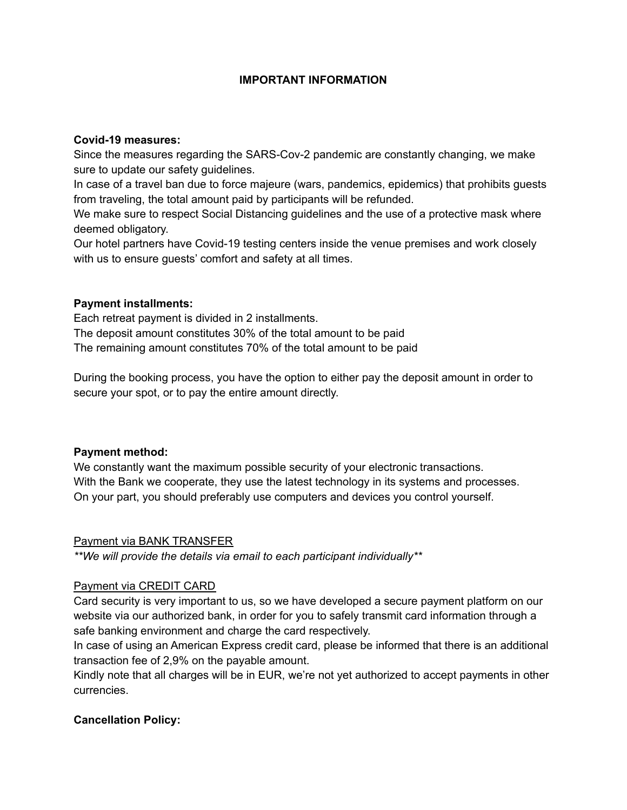# **IMPORTANT INFORMATION**

### **Covid-19 measures:**

Since the measures regarding the SARS-Cov-2 pandemic are constantly changing, we make sure to update our safety guidelines.

In case of a travel ban due to force majeure (wars, pandemics, epidemics) that prohibits guests from traveling, the total amount paid by participants will be refunded.

We make sure to respect Social Distancing guidelines and the use of a protective mask where deemed obligatory.

Our hotel partners have Covid-19 testing centers inside the venue premises and work closely with us to ensure guests' comfort and safety at all times.

### **Payment installments:**

Each retreat payment is divided in 2 installments. The deposit amount constitutes 30% of the total amount to be paid The remaining amount constitutes 70% of the total amount to be paid

During the booking process, you have the option to either pay the deposit amount in order to secure your spot, or to pay the entire amount directly.

### **Payment method:**

We constantly want the maximum possible security of your electronic transactions. With the Bank we cooperate, they use the latest technology in its systems and processes. On your part, you should preferably use computers and devices you control yourself.

### Payment via BANK TRANSFER

*\*\*We will provide the details via email to each participant individually\*\**

# Payment via CREDIT CARD

Card security is very important to us, so we have developed a secure payment platform on our website via our authorized bank, in order for you to safely transmit card information through a safe banking environment and charge the card respectively.

In case of using an American Express credit card, please be informed that there is an additional transaction fee of 2,9% on the payable amount.

Kindly note that all charges will be in EUR, we're not yet authorized to accept payments in other currencies.

# **Cancellation Policy:**